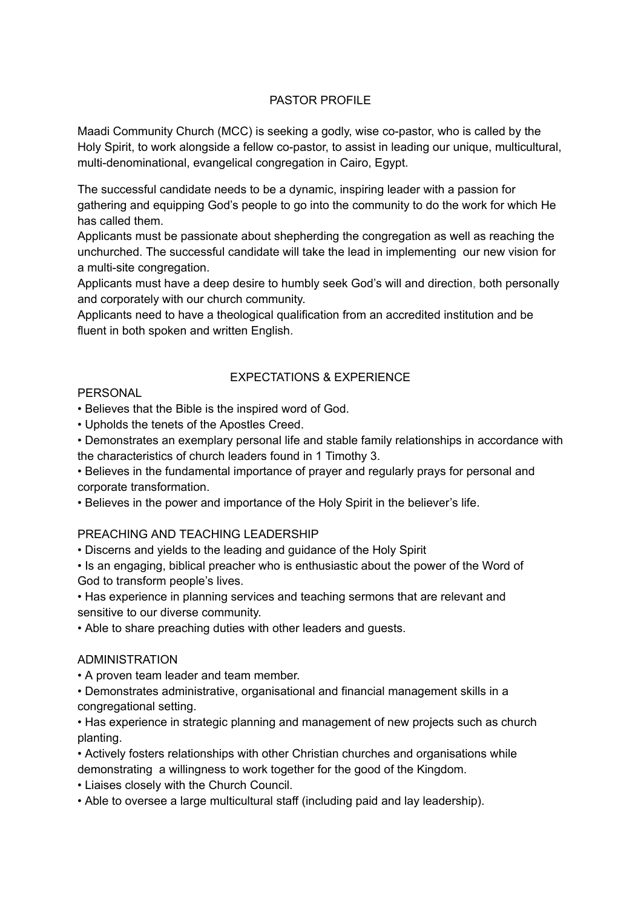### PASTOR PROFILE

Maadi Community Church (MCC) is seeking a godly, wise co-pastor, who is called by the Holy Spirit, to work alongside a fellow co-pastor, to assist in leading our unique, multicultural, multi-denominational, evangelical congregation in Cairo, Egypt.

The successful candidate needs to be a dynamic, inspiring leader with a passion for gathering and equipping God's people to go into the community to do the work for which He has called them.

Applicants must be passionate about shepherding the congregation as well as reaching the unchurched. The successful candidate will take the lead in implementing our new vision for a multi-site congregation.

Applicants must have a deep desire to humbly seek God's will and direction, both personally and corporately with our church community.

Applicants need to have a theological qualification from an accredited institution and be fluent in both spoken and written English.

# EXPECTATIONS & EXPERIENCE

#### **PERSONAL**

• Believes that the Bible is the inspired word of God.

• Upholds the tenets of the Apostles Creed.

• Demonstrates an exemplary personal life and stable family relationships in accordance with the characteristics of church leaders found in 1 Timothy 3.

• Believes in the fundamental importance of prayer and regularly prays for personal and corporate transformation.

• Believes in the power and importance of the Holy Spirit in the believer's life.

#### PREACHING AND TEACHING LEADERSHIP

• Discerns and yields to the leading and guidance of the Holy Spirit

• Is an engaging, biblical preacher who is enthusiastic about the power of the Word of God to transform people's lives.

• Has experience in planning services and teaching sermons that are relevant and sensitive to our diverse community.

• Able to share preaching duties with other leaders and guests.

#### ADMINISTRATION

• A proven team leader and team member.

• Demonstrates administrative, organisational and financial management skills in a congregational setting.

• Has experience in strategic planning and management of new projects such as church planting.

• Actively fosters relationships with other Christian churches and organisations while demonstrating a willingness to work together for the good of the Kingdom.

• Liaises closely with the Church Council.

• Able to oversee a large multicultural staff (including paid and lay leadership).